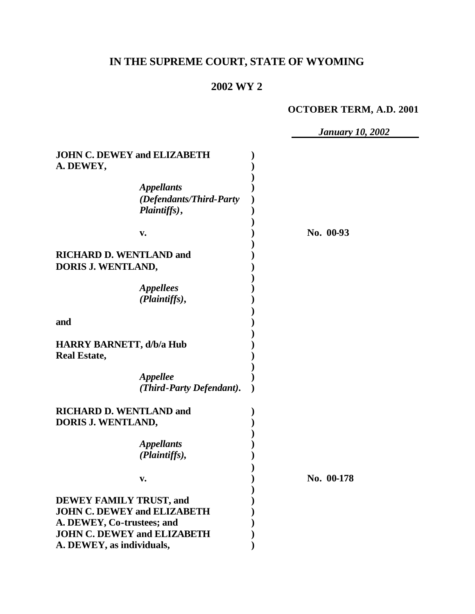## **IN THE SUPREME COURT, STATE OF WYOMING**

#### **2002 WY 2**

#### **OCTOBER TERM, A.D. 2001**

 *January 10, 2002* **JOHN C. DEWEY and ELIZABETH ) A. DEWEY, ) )** *Appellants* **)** *(Defendants/Third-Party* **)** *Plaintiffs)***, ) ) v. ) No. 00-93 ) RICHARD D. WENTLAND and ) DORIS J. WENTLAND, ) )** *Appellees* **)** *(Plaintiffs)***, ) ) and ) ) HARRY BARNETT, d/b/a Hub ) Real Estate, ) )** *Appellee* **)** *(Third-Party Defendant)***. ) RICHARD D. WENTLAND and ) DORIS J. WENTLAND, ) )** *Appellants* **)** *(Plaintiffs),* **) ) v. ) No. 00-178 ) DEWEY FAMILY TRUST, and ) JOHN C. DEWEY and ELIZABETH ) A. DEWEY, Co-trustees; and ) JOHN C. DEWEY and ELIZABETH ) A. DEWEY, as individuals, )**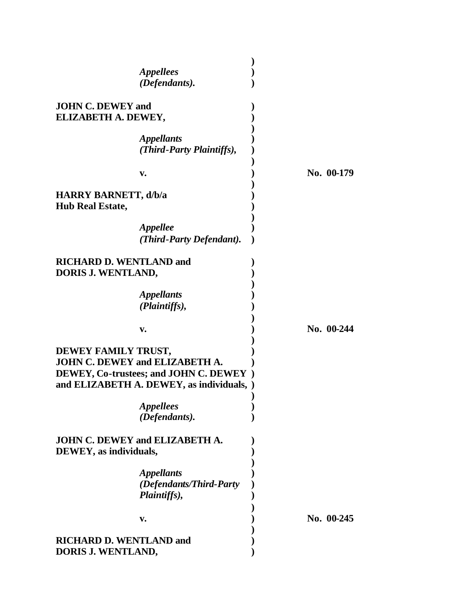|                             | <i><b>Appellees</b></i>                 |              |
|-----------------------------|-----------------------------------------|--------------|
|                             | (Defendants).                           |              |
|                             |                                         |              |
| <b>JOHN C. DEWEY and</b>    |                                         |              |
| ELIZABETH A. DEWEY,         |                                         |              |
|                             |                                         |              |
|                             | <i><b>Appellants</b></i>                |              |
|                             | (Third-Party Plaintiffs),               |              |
|                             |                                         |              |
|                             |                                         | No. 00-179   |
|                             | v.                                      |              |
| <b>HARRY BARNETT, d/b/a</b> |                                         |              |
|                             |                                         |              |
| <b>Hub Real Estate,</b>     |                                         |              |
|                             |                                         |              |
|                             | <b>Appellee</b>                         |              |
|                             | (Third-Party Defendant).                |              |
|                             |                                         |              |
|                             | <b>RICHARD D. WENTLAND and</b>          |              |
| DORIS J. WENTLAND,          |                                         |              |
|                             |                                         |              |
|                             | <i><b>Appellants</b></i>                |              |
|                             | (Plaintiffs),                           |              |
|                             |                                         |              |
|                             |                                         |              |
|                             | v.                                      | No. 00-244   |
|                             |                                         |              |
| DEWEY FAMILY TRUST,         |                                         |              |
|                             | <b>JOHN C. DEWEY and ELIZABETH A.</b>   |              |
|                             | DEWEY, Co-trustees; and JOHN C. DEWEY ) |              |
|                             | and ELIZABETH A. DEWEY, as individuals, |              |
|                             |                                         |              |
|                             | <b>Appellees</b>                        |              |
|                             | (Defendants).                           |              |
|                             |                                         |              |
|                             | <b>JOHN C. DEWEY and ELIZABETH A.</b>   |              |
| DEWEY, as individuals,      |                                         |              |
|                             |                                         |              |
|                             |                                         |              |
|                             | <b>Appellants</b>                       |              |
|                             | (Defendants/Third-Party                 |              |
|                             | Plaintiffs),                            |              |
|                             |                                         |              |
|                             | V.                                      | No. $00-245$ |
|                             |                                         |              |
|                             | <b>RICHARD D. WENTLAND and</b>          |              |
| DORIS J. WENTLAND,          |                                         |              |
|                             |                                         |              |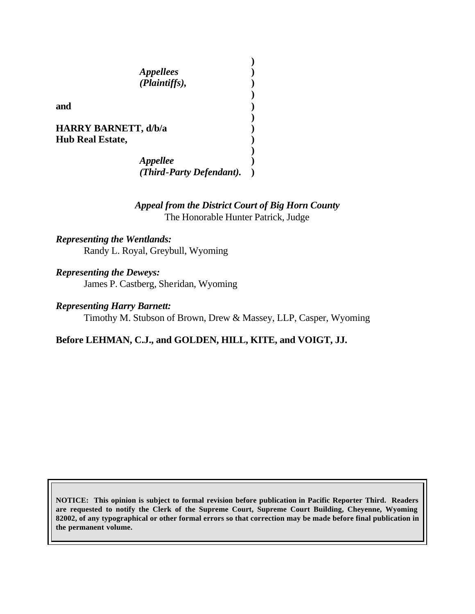*Appellees* **)** *(Plaintiffs),* **)**

**and )**

**HARRY BARNETT, d/b/a ) Hub Real Estate, )**

> *Appellee* **)** *(Third-Party Defendant).* **)**

### *Appeal from the District Court of Big Horn County* The Honorable Hunter Patrick, Judge

**)**

**)**

**)**

**)**

*Representing the Wentlands:* Randy L. Royal, Greybull, Wyoming

*Representing the Deweys:*

James P. Castberg, Sheridan, Wyoming

*Representing Harry Barnett:*

Timothy M. Stubson of Brown, Drew & Massey, LLP, Casper, Wyoming

**Before LEHMAN, C.J., and GOLDEN, HILL, KITE, and VOIGT, JJ.**

**NOTICE: This opinion is subject to formal revision before publication in Pacific Reporter Third. Readers are requested to notify the Clerk of the Supreme Court, Supreme Court Building, Cheyenne, Wyoming 82002, of any typographical or other formal errors so that correction may be made before final publication in the permanent volume.**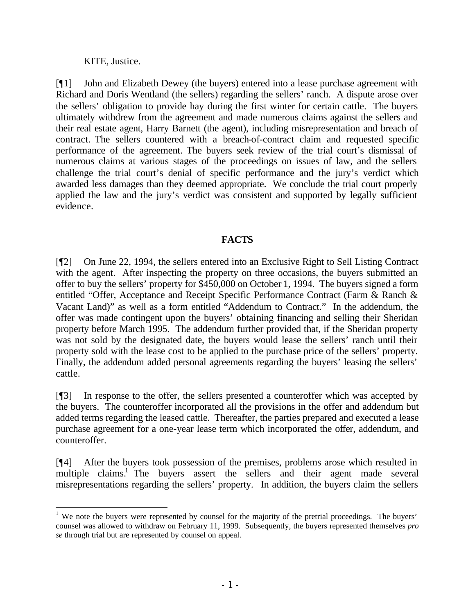KITE, Justice.

[¶1] John and Elizabeth Dewey (the buyers) entered into a lease purchase agreement with Richard and Doris Wentland (the sellers) regarding the sellers' ranch. A dispute arose over the sellers' obligation to provide hay during the first winter for certain cattle. The buyers ultimately withdrew from the agreement and made numerous claims against the sellers and their real estate agent, Harry Barnett (the agent), including misrepresentation and breach of contract. The sellers countered with a breach-of-contract claim and requested specific performance of the agreement. The buyers seek review of the trial court's dismissal of numerous claims at various stages of the proceedings on issues of law, and the sellers challenge the trial court's denial of specific performance and the jury's verdict which awarded less damages than they deemed appropriate. We conclude the trial court properly applied the law and the jury's verdict was consistent and supported by legally sufficient evidence.

### **FACTS**

[¶2] On June 22, 1994, the sellers entered into an Exclusive Right to Sell Listing Contract with the agent. After inspecting the property on three occasions, the buyers submitted an offer to buy the sellers' property for \$450,000 on October 1, 1994. The buyers signed a form entitled "Offer, Acceptance and Receipt Specific Performance Contract (Farm & Ranch & Vacant Land)" as well as a form entitled "Addendum to Contract." In the addendum, the offer was made contingent upon the buyers' obtaining financing and selling their Sheridan property before March 1995. The addendum further provided that, if the Sheridan property was not sold by the designated date, the buyers would lease the sellers' ranch until their property sold with the lease cost to be applied to the purchase price of the sellers' property. Finally, the addendum added personal agreements regarding the buyers' leasing the sellers' cattle.

[¶3] In response to the offer, the sellers presented a counteroffer which was accepted by the buyers. The counteroffer incorporated all the provisions in the offer and addendum but added terms regarding the leased cattle. Thereafter, the parties prepared and executed a lease purchase agreement for a one-year lease term which incorporated the offer, addendum, and counteroffer.

[¶4] After the buyers took possession of the premises, problems arose which resulted in multiple claims.<sup>1</sup> The buyers assert the sellers and their agent made several misrepresentations regarding the sellers' property. In addition, the buyers claim the sellers

<sup>&</sup>lt;sup>1</sup> We note the buyers were represented by counsel for the majority of the pretrial proceedings. The buyers' counsel was allowed to withdraw on February 11, 1999. Subsequently, the buyers represented themselves *pro se* through trial but are represented by counsel on appeal.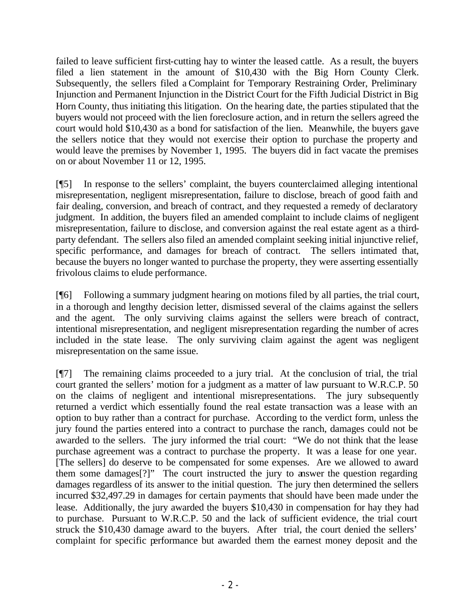failed to leave sufficient first-cutting hay to winter the leased cattle. As a result, the buyers filed a lien statement in the amount of \$10,430 with the Big Horn County Clerk. Subsequently, the sellers filed a Complaint for Temporary Restraining Order, Preliminary Injunction and Permanent Injunction in the District Court for the Fifth Judicial District in Big Horn County, thus initiating this litigation. On the hearing date, the parties stipulated that the buyers would not proceed with the lien foreclosure action, and in return the sellers agreed the court would hold \$10,430 as a bond for satisfaction of the lien. Meanwhile, the buyers gave the sellers notice that they would not exercise their option to purchase the property and would leave the premises by November 1, 1995. The buyers did in fact vacate the premises on or about November 11 or 12, 1995.

[¶5] In response to the sellers' complaint, the buyers counterclaimed alleging intentional misrepresentation, negligent misrepresentation, failure to disclose, breach of good faith and fair dealing, conversion, and breach of contract, and they requested a remedy of declaratory judgment. In addition, the buyers filed an amended complaint to include claims of negligent misrepresentation, failure to disclose, and conversion against the real estate agent as a thirdparty defendant. The sellers also filed an amended complaint seeking initial injunctive relief, specific performance, and damages for breach of contract. The sellers intimated that, because the buyers no longer wanted to purchase the property, they were asserting essentially frivolous claims to elude performance.

[¶6] Following a summary judgment hearing on motions filed by all parties, the trial court, in a thorough and lengthy decision letter, dismissed several of the claims against the sellers and the agent. The only surviving claims against the sellers were breach of contract, intentional misrepresentation, and negligent misrepresentation regarding the number of acres included in the state lease. The only surviving claim against the agent was negligent misrepresentation on the same issue.

[¶7] The remaining claims proceeded to a jury trial. At the conclusion of trial, the trial court granted the sellers' motion for a judgment as a matter of law pursuant to W.R.C.P. 50 on the claims of negligent and intentional misrepresentations. The jury subsequently returned a verdict which essentially found the real estate transaction was a lease with an option to buy rather than a contract for purchase. According to the verdict form, unless the jury found the parties entered into a contract to purchase the ranch, damages could not be awarded to the sellers. The jury informed the trial court: "We do not think that the lease purchase agreement was a contract to purchase the property. It was a lease for one year. [The sellers] do deserve to be compensated for some expenses. Are we allowed to award them some damages[?]" The court instructed the jury to answer the question regarding damages regardless of its answer to the initial question. The jury then determined the sellers incurred \$32,497.29 in damages for certain payments that should have been made under the lease. Additionally, the jury awarded the buyers \$10,430 in compensation for hay they had to purchase. Pursuant to W.R.C.P. 50 and the lack of sufficient evidence, the trial court struck the \$10,430 damage award to the buyers. After trial, the court denied the sellers' complaint for specific performance but awarded them the earnest money deposit and the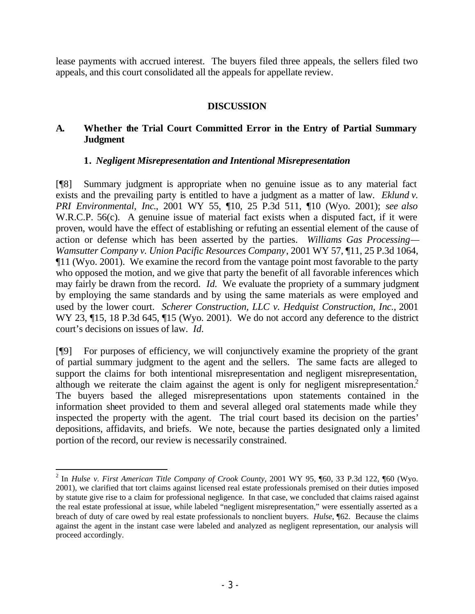lease payments with accrued interest. The buyers filed three appeals, the sellers filed two appeals, and this court consolidated all the appeals for appellate review.

#### **DISCUSSION**

#### **A. Whether the Trial Court Committed Error in the Entry of Partial Summary Judgment**

#### **1.** *Negligent Misrepresentation and Intentional Misrepresentation*

[¶8] Summary judgment is appropriate when no genuine issue as to any material fact exists and the prevailing party is entitled to have a judgment as a matter of law. *Eklund v. PRI Environmental, Inc*., 2001 WY 55, ¶10, 25 P.3d 511, ¶10 (Wyo. 2001); *see also*  W.R.C.P. 56(c). A genuine issue of material fact exists when a disputed fact, if it were proven, would have the effect of establishing or refuting an essential element of the cause of action or defense which has been asserted by the parties. *Williams Gas Processing— Wamsutter Company v. Union Pacific Resources Company*, 2001 WY 57, ¶11, 25 P.3d 1064, ¶11 (Wyo. 2001). We examine the record from the vantage point most favorable to the party who opposed the motion, and we give that party the benefit of all favorable inferences which may fairly be drawn from the record. *Id.* We evaluate the propriety of a summary judgment by employing the same standards and by using the same materials as were employed and used by the lower court. *Scherer Construction, LLC v. Hedquist Construction, Inc.*, 2001 WY 23, ¶15, 18 P.3d 645, ¶15 (Wyo. 2001). We do not accord any deference to the district court's decisions on issues of law. *Id.*

[¶9] For purposes of efficiency, we will conjunctively examine the propriety of the grant of partial summary judgment to the agent and the sellers. The same facts are alleged to support the claims for both intentional misrepresentation and negligent misrepresentation, although we reiterate the claim against the agent is only for negligent misrepresentation.<sup>2</sup> The buyers based the alleged misrepresentations upon statements contained in the information sheet provided to them and several alleged oral statements made while they inspected the property with the agent. The trial court based its decision on the parties' depositions, affidavits, and briefs. We note, because the parties designated only a limited portion of the record, our review is necessarily constrained.

<sup>2</sup> In *Hulse v. First American Title Company of Crook County*, 2001 WY 95, ¶60, 33 P.3d 122, ¶60 (Wyo. 2001), we clarified that tort claims against licensed real estate professionals premised on their duties imposed by statute give rise to a claim for professional negligence. In that case, we concluded that claims raised against the real estate professional at issue, while labeled "negligent misrepresentation," were essentially asserted as a breach of duty of care owed by real estate professionals to nonclient buyers. *Hulse*, ¶62. Because the claims against the agent in the instant case were labeled and analyzed as negligent representation, our analysis will proceed accordingly.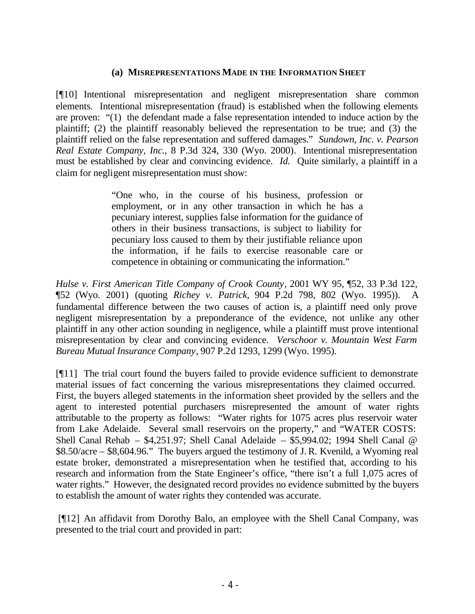#### **(a) MISREPRESENTATIONS MADE IN THE INFORMATION SHEET**

[¶10] Intentional misrepresentation and negligent misrepresentation share common elements. Intentional misrepresentation (fraud) is established when the following elements are proven: "(1) the defendant made a false representation intended to induce action by the plaintiff; (2) the plaintiff reasonably believed the representation to be true; and (3) the plaintiff relied on the false representation and suffered damages." *Sundown, Inc. v. Pearson Real Estate Company, Inc.*, 8 P.3d 324, 330 (Wyo. 2000). Intentional misrepresentation must be established by clear and convincing evidence. *Id.* Quite similarly, a plaintiff in a claim for negligent misrepresentation must show:

> "One who, in the course of his business, profession or employment, or in any other transaction in which he has a pecuniary interest, supplies false information for the guidance of others in their business transactions, is subject to liability for pecuniary loss caused to them by their justifiable reliance upon the information, if he fails to exercise reasonable care or competence in obtaining or communicating the information."

*Hulse v. First American Title Company of Crook County*, 2001 WY 95, ¶52, 33 P.3d 122, ¶52 (Wyo. 2001) (quoting *Richey v. Patrick,* 904 P.2d 798, 802 (Wyo. 1995)). A fundamental difference between the two causes of action is, a plaintiff need only prove negligent misrepresentation by a preponderance of the evidence, not unlike any other plaintiff in any other action sounding in negligence, while a plaintiff must prove intentional misrepresentation by clear and convincing evidence. *Verschoor v. Mountain West Farm Bureau Mutual Insurance Company*, 907 P.2d 1293, 1299 (Wyo. 1995).

[¶11] The trial court found the buyers failed to provide evidence sufficient to demonstrate material issues of fact concerning the various misrepresentations they claimed occurred. First, the buyers alleged statements in the information sheet provided by the sellers and the agent to interested potential purchasers misrepresented the amount of water rights attributable to the property as follows: "Water rights for 1075 acres plus reservoir water from Lake Adelaide. Several small reservoirs on the property," and "WATER COSTS: Shell Canal Rehab – \$4,251.97; Shell Canal Adelaide – \$5,994.02; 1994 Shell Canal @ \$8.50/acre – \$8,604.96." The buyers argued the testimony of J. R. Kvenild, a Wyoming real estate broker, demonstrated a misrepresentation when he testified that, according to his research and information from the State Engineer's office, "there isn't a full 1,075 acres of water rights." However, the designated record provides no evidence submitted by the buyers to establish the amount of water rights they contended was accurate.

 [¶12] An affidavit from Dorothy Balo, an employee with the Shell Canal Company, was presented to the trial court and provided in part: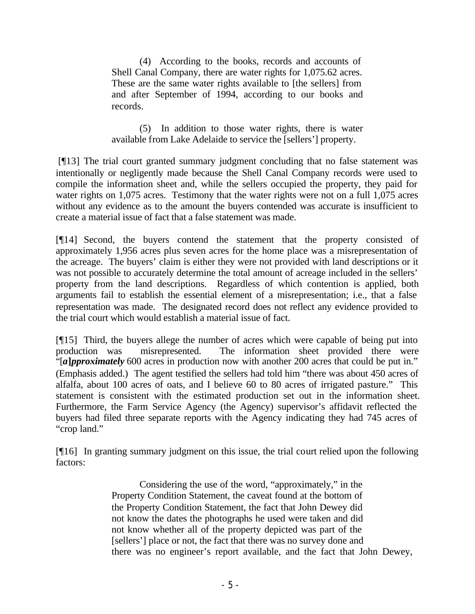(4) According to the books, records and accounts of Shell Canal Company, there are water rights for 1,075.62 acres. These are the same water rights available to [the sellers] from and after September of 1994, according to our books and records.

(5) In addition to those water rights, there is water available from Lake Adelaide to service the [sellers'] property.

 [¶13] The trial court granted summary judgment concluding that no false statement was intentionally or negligently made because the Shell Canal Company records were used to compile the information sheet and, while the sellers occupied the property, they paid for water rights on 1,075 acres. Testimony that the water rights were not on a full 1,075 acres without any evidence as to the amount the buyers contended was accurate is insufficient to create a material issue of fact that a false statement was made.

[¶14] Second, the buyers contend the statement that the property consisted of approximately 1,956 acres plus seven acres for the home place was a misrepresentation of the acreage. The buyers' claim is either they were not provided with land descriptions or it was not possible to accurately determine the total amount of acreage included in the sellers' property from the land descriptions. Regardless of which contention is applied, both arguments fail to establish the essential element of a misrepresentation; i.e., that a false representation was made. The designated record does not reflect any evidence provided to the trial court which would establish a material issue of fact.

[¶15] Third, the buyers allege the number of acres which were capable of being put into production was misrepresented. The information sheet provided there were "[*a***]***pproximately* 600 acres in production now with another 200 acres that could be put in." (Emphasis added.) The agent testified the sellers had told him "there was about 450 acres of alfalfa, about 100 acres of oats, and I believe 60 to 80 acres of irrigated pasture." This statement is consistent with the estimated production set out in the information sheet. Furthermore, the Farm Service Agency (the Agency) supervisor's affidavit reflected the buyers had filed three separate reports with the Agency indicating they had 745 acres of "crop land."

[¶16] In granting summary judgment on this issue, the trial court relied upon the following factors:

> Considering the use of the word, "approximately," in the Property Condition Statement, the caveat found at the bottom of the Property Condition Statement, the fact that John Dewey did not know the dates the photographs he used were taken and did not know whether all of the property depicted was part of the [sellers'] place or not, the fact that there was no survey done and there was no engineer's report available, and the fact that John Dewey,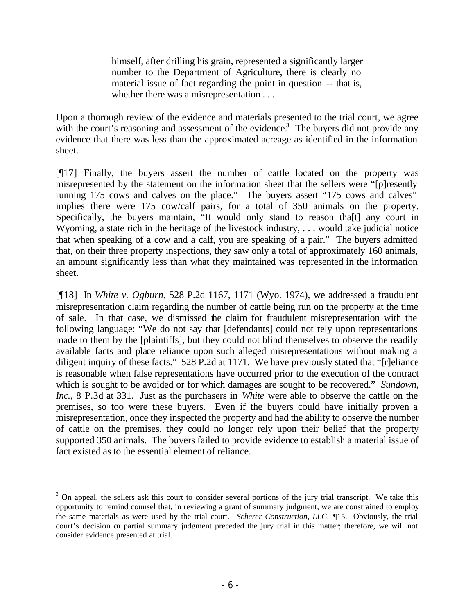himself, after drilling his grain, represented a significantly larger number to the Department of Agriculture, there is clearly no material issue of fact regarding the point in question -- that is, whether there was a misrepresentation . . . .

Upon a thorough review of the evidence and materials presented to the trial court, we agree with the court's reasoning and assessment of the evidence.<sup>3</sup> The buyers did not provide any evidence that there was less than the approximated acreage as identified in the information sheet.

[¶17] Finally, the buyers assert the number of cattle located on the property was misrepresented by the statement on the information sheet that the sellers were "[p]resently running 175 cows and calves on the place." The buyers assert "175 cows and calves" implies there were 175 cow/calf pairs, for a total of 350 animals on the property. Specifically, the buyers maintain, "It would only stand to reason tha[t] any court in Wyoming, a state rich in the heritage of the livestock industry, . . . would take judicial notice that when speaking of a cow and a calf, you are speaking of a pair." The buyers admitted that, on their three property inspections, they saw only a total of approximately 160 animals, an amount significantly less than what they maintained was represented in the information sheet.

[¶18] In *White v. Ogburn*, 528 P.2d 1167, 1171 (Wyo. 1974), we addressed a fraudulent misrepresentation claim regarding the number of cattle being run on the property at the time of sale. In that case, we dismissed the claim for fraudulent misrepresentation with the following language: "We do not say that [defendants] could not rely upon representations made to them by the [plaintiffs], but they could not blind themselves to observe the readily available facts and place reliance upon such alleged misrepresentations without making a diligent inquiry of these facts." 528 P.2d at 1171. We have previously stated that "[r]eliance is reasonable when false representations have occurred prior to the execution of the contract which is sought to be avoided or for which damages are sought to be recovered." *Sundown, Inc.,* 8 P.3d at 331. Just as the purchasers in *White* were able to observe the cattle on the premises, so too were these buyers. Even if the buyers could have initially proven a misrepresentation, once they inspected the property and had the ability to observe the number of cattle on the premises, they could no longer rely upon their belief that the property supported 350 animals. The buyers failed to provide evidence to establish a material issue of fact existed as to the essential element of reliance.

<sup>&</sup>lt;sup>3</sup> On appeal, the sellers ask this court to consider several portions of the jury trial transcript. We take this opportunity to remind counsel that, in reviewing a grant of summary judgment, we are constrained to employ the same materials as were used by the trial court. *Scherer Construction, LLC,* ¶15. Obviously, the trial court's decision on partial summary judgment preceded the jury trial in this matter; therefore, we will not consider evidence presented at trial.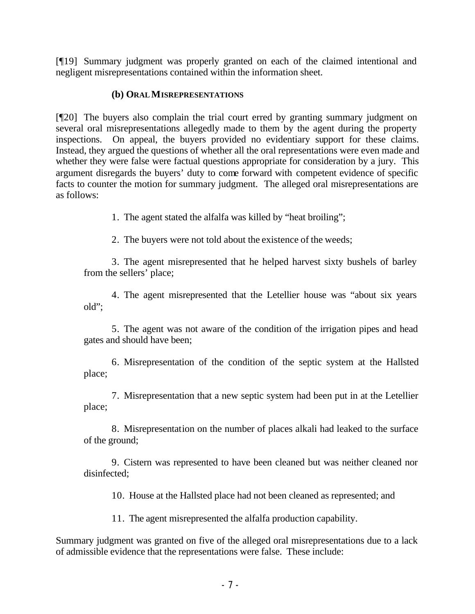[¶19] Summary judgment was properly granted on each of the claimed intentional and negligent misrepresentations contained within the information sheet.

#### **(b) ORALMISREPRESENTATIONS**

[¶20] The buyers also complain the trial court erred by granting summary judgment on several oral misrepresentations allegedly made to them by the agent during the property inspections. On appeal, the buyers provided no evidentiary support for these claims. Instead, they argued the questions of whether all the oral representations were even made and whether they were false were factual questions appropriate for consideration by a jury. This argument disregards the buyers' duty to come forward with competent evidence of specific facts to counter the motion for summary judgment. The alleged oral misrepresentations are as follows:

1. The agent stated the alfalfa was killed by "heat broiling";

2. The buyers were not told about the existence of the weeds;

3. The agent misrepresented that he helped harvest sixty bushels of barley from the sellers' place;

4. The agent misrepresented that the Letellier house was "about six years old";

5. The agent was not aware of the condition of the irrigation pipes and head gates and should have been;

6. Misrepresentation of the condition of the septic system at the Hallsted place;

7. Misrepresentation that a new septic system had been put in at the Letellier place;

8. Misrepresentation on the number of places alkali had leaked to the surface of the ground;

9. Cistern was represented to have been cleaned but was neither cleaned nor disinfected;

10. House at the Hallsted place had not been cleaned as represented; and

11. The agent misrepresented the alfalfa production capability.

Summary judgment was granted on five of the alleged oral misrepresentations due to a lack of admissible evidence that the representations were false. These include: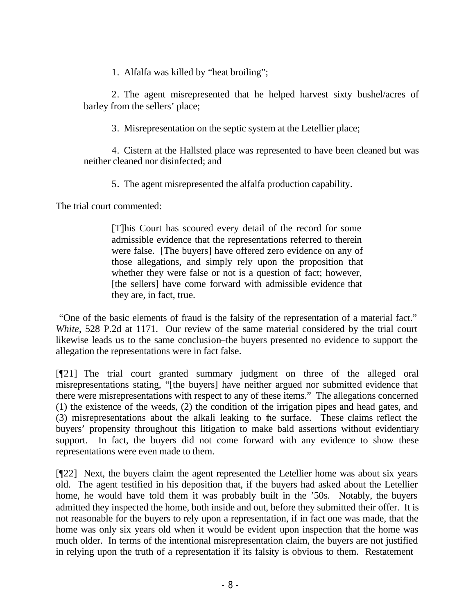1. Alfalfa was killed by "heat broiling";

2. The agent misrepresented that he helped harvest sixty bushel/acres of barley from the sellers' place;

3. Misrepresentation on the septic system at the Letellier place;

4. Cistern at the Hallsted place was represented to have been cleaned but was neither cleaned nor disinfected; and

5. The agent misrepresented the alfalfa production capability.

The trial court commented:

[T]his Court has scoured every detail of the record for some admissible evidence that the representations referred to therein were false. [The buyers] have offered zero evidence on any of those allegations, and simply rely upon the proposition that whether they were false or not is a question of fact; however, [the sellers] have come forward with admissible evidence that they are, in fact, true.

 "One of the basic elements of fraud is the falsity of the representation of a material fact." *White*, 528 P.2d at 1171. Our review of the same material considered by the trial court likewise leads us to the same conclusion–the buyers presented no evidence to support the allegation the representations were in fact false.

[¶21] The trial court granted summary judgment on three of the alleged oral misrepresentations stating, "[the buyers] have neither argued nor submitted evidence that there were misrepresentations with respect to any of these items." The allegations concerned (1) the existence of the weeds, (2) the condition of the irrigation pipes and head gates, and (3) misrepresentations about the alkali leaking to the surface. These claims reflect the buyers' propensity throughout this litigation to make bald assertions without evidentiary support. In fact, the buyers did not come forward with any evidence to show these representations were even made to them.

[¶22] Next, the buyers claim the agent represented the Letellier home was about six years old. The agent testified in his deposition that, if the buyers had asked about the Letellier home, he would have told them it was probably built in the '50s. Notably, the buyers admitted they inspected the home, both inside and out, before they submitted their offer. It is not reasonable for the buyers to rely upon a representation, if in fact one was made, that the home was only six years old when it would be evident upon inspection that the home was much older. In terms of the intentional misrepresentation claim, the buyers are not justified in relying upon the truth of a representation if its falsity is obvious to them. Restatement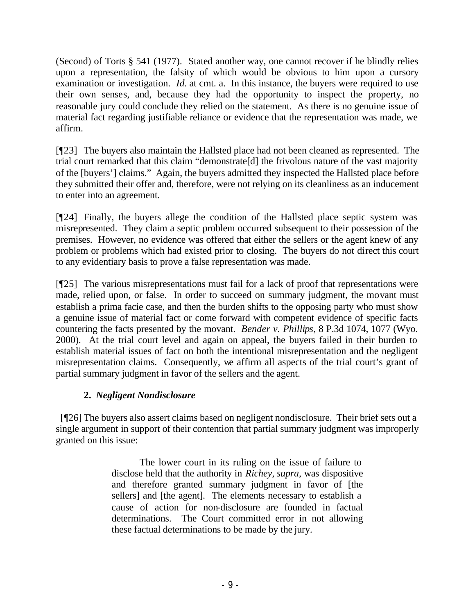(Second) of Torts § 541 (1977). Stated another way, one cannot recover if he blindly relies upon a representation, the falsity of which would be obvious to him upon a cursory examination or investigation. *Id.* at cmt. a. In this instance, the buyers were required to use their own senses, and, because they had the opportunity to inspect the property, no reasonable jury could conclude they relied on the statement. As there is no genuine issue of material fact regarding justifiable reliance or evidence that the representation was made, we affirm.

[¶23] The buyers also maintain the Hallsted place had not been cleaned as represented. The trial court remarked that this claim "demonstrate[d] the frivolous nature of the vast majority of the [buyers'] claims." Again, the buyers admitted they inspected the Hallsted place before they submitted their offer and, therefore, were not relying on its cleanliness as an inducement to enter into an agreement.

[¶24] Finally, the buyers allege the condition of the Hallsted place septic system was misrepresented. They claim a septic problem occurred subsequent to their possession of the premises. However, no evidence was offered that either the sellers or the agent knew of any problem or problems which had existed prior to closing. The buyers do not direct this court to any evidentiary basis to prove a false representation was made.

[¶25] The various misrepresentations must fail for a lack of proof that representations were made, relied upon, or false. In order to succeed on summary judgment, the movant must establish a prima facie case, and then the burden shifts to the opposing party who must show a genuine issue of material fact or come forward with competent evidence of specific facts countering the facts presented by the movant. *Bender v. Phillips*, 8 P.3d 1074, 1077 (Wyo. 2000). At the trial court level and again on appeal, the buyers failed in their burden to establish material issues of fact on both the intentional misrepresentation and the negligent misrepresentation claims. Consequently, we affirm all aspects of the trial court's grant of partial summary judgment in favor of the sellers and the agent.

## **2.** *Negligent Nondisclosure*

[¶26] The buyers also assert claims based on negligent nondisclosure. Their brief sets out a single argument in support of their contention that partial summary judgment was improperly granted on this issue:

> The lower court in its ruling on the issue of failure to disclose held that the authority in *Richey, supra*, was dispositive and therefore granted summary judgment in favor of [the sellers] and [the agent]. The elements necessary to establish a cause of action for non-disclosure are founded in factual determinations. The Court committed error in not allowing these factual determinations to be made by the jury.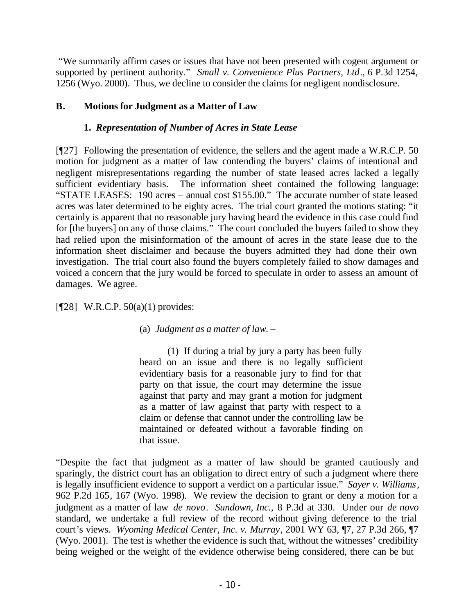"We summarily affirm cases or issues that have not been presented with cogent argument or supported by pertinent authority." *Small v. Convenience Plus Partners, Ltd*., 6 P.3d 1254, 1256 (Wyo. 2000). Thus, we decline to consider the claims for negligent nondisclosure.

## **B. Motions for Judgment as a Matter of Law**

## **1.** *Representation of Number of Acres in State Lease*

[¶27] Following the presentation of evidence, the sellers and the agent made a W.R.C.P. 50 motion for judgment as a matter of law contending the buyers' claims of intentional and negligent misrepresentations regarding the number of state leased acres lacked a legally sufficient evidentiary basis. The information sheet contained the following language: "STATE LEASES: 190 acres – annual cost \$155.00." The accurate number of state leased acres was later determined to be eighty acres. The trial court granted the motions stating: "it certainly is apparent that no reasonable jury having heard the evidence in this case could find for [the buyers] on any of those claims." The court concluded the buyers failed to show they had relied upon the misinformation of the amount of acres in the state lease due to the information sheet disclaimer and because the buyers admitted they had done their own investigation. The trial court also found the buyers completely failed to show damages and voiced a concern that the jury would be forced to speculate in order to assess an amount of damages. We agree.

## [¶28] W.R.C.P. 50(a)(1) provides:

## (a) *Judgment as a matter of law*. –

(1) If during a trial by jury a party has been fully heard on an issue and there is no legally sufficient evidentiary basis for a reasonable jury to find for that party on that issue, the court may determine the issue against that party and may grant a motion for judgment as a matter of law against that party with respect to a claim or defense that cannot under the controlling law be maintained or defeated without a favorable finding on that issue.

"Despite the fact that judgment as a matter of law should be granted cautiously and sparingly, the district court has an obligation to direct entry of such a judgment where there is legally insufficient evidence to support a verdict on a particular issue." *Sayer v. Williams*, 962 P.2d 165, 167 (Wyo. 1998). We review the decision to grant or deny a motion for a judgment as a matter of law *de novo*. *Sundown, Inc.,* 8 P.3d at 330. Under our *de novo* standard, we undertake a full review of the record without giving deference to the trial court's views. *Wyoming Medical Center, Inc. v. Murray*, 2001 WY 63, ¶7, 27 P.3d 266, ¶7 (Wyo. 2001). The test is whether the evidence is such that, without the witnesses' credibility being weighed or the weight of the evidence otherwise being considered, there can be but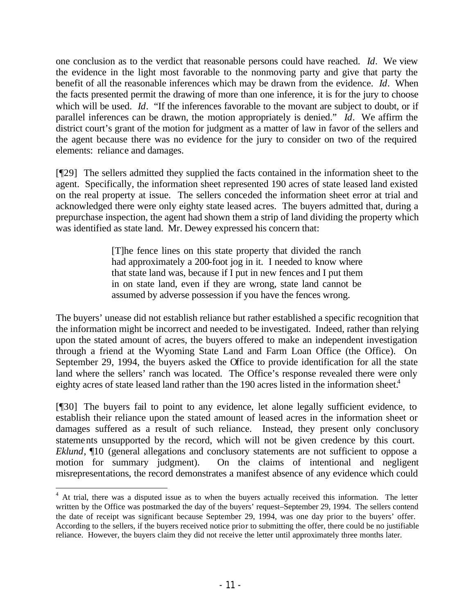one conclusion as to the verdict that reasonable persons could have reached. *Id*. We view the evidence in the light most favorable to the nonmoving party and give that party the benefit of all the reasonable inferences which may be drawn from the evidence. *Id*. When the facts presented permit the drawing of more than one inference, it is for the jury to choose which will be used. *Id*. "If the inferences favorable to the movant are subject to doubt, or if parallel inferences can be drawn, the motion appropriately is denied." *Id*. We affirm the district court's grant of the motion for judgment as a matter of law in favor of the sellers and the agent because there was no evidence for the jury to consider on two of the required elements: reliance and damages.

[¶29] The sellers admitted they supplied the facts contained in the information sheet to the agent. Specifically, the information sheet represented 190 acres of state leased land existed on the real property at issue. The sellers conceded the information sheet error at trial and acknowledged there were only eighty state leased acres. The buyers admitted that, during a prepurchase inspection, the agent had shown them a strip of land dividing the property which was identified as state land. Mr. Dewey expressed his concern that:

> [T]he fence lines on this state property that divided the ranch had approximately a 200-foot jog in it. I needed to know where that state land was, because if I put in new fences and I put them in on state land, even if they are wrong, state land cannot be assumed by adverse possession if you have the fences wrong.

The buyers' unease did not establish reliance but rather established a specific recognition that the information might be incorrect and needed to be investigated. Indeed, rather than relying upon the stated amount of acres, the buyers offered to make an independent investigation through a friend at the Wyoming State Land and Farm Loan Office (the Office). On September 29, 1994, the buyers asked the Office to provide identification for all the state land where the sellers' ranch was located. The Office's response revealed there were only eighty acres of state leased land rather than the 190 acres listed in the information sheet.<sup>4</sup>

[¶30] The buyers fail to point to any evidence, let alone legally sufficient evidence, to establish their reliance upon the stated amount of leased acres in the information sheet or damages suffered as a result of such reliance. Instead, they present only conclusory statements unsupported by the record, which will not be given credence by this court. *Eklund*,  $\P$ 10 (general allegations and conclusory statements are not sufficient to oppose a motion for summary judgment). On the claims of intentional and negligent misrepresentations, the record demonstrates a manifest absence of any evidence which could

<sup>&</sup>lt;sup>4</sup> At trial, there was a disputed issue as to when the buyers actually received this information. The letter written by the Office was postmarked the day of the buyers' request–September 29, 1994. The sellers contend the date of receipt was significant because September 29, 1994, was one day prior to the buyers' offer. According to the sellers, if the buyers received notice prior to submitting the offer, there could be no justifiable reliance. However, the buyers claim they did not receive the letter until approximately three months later.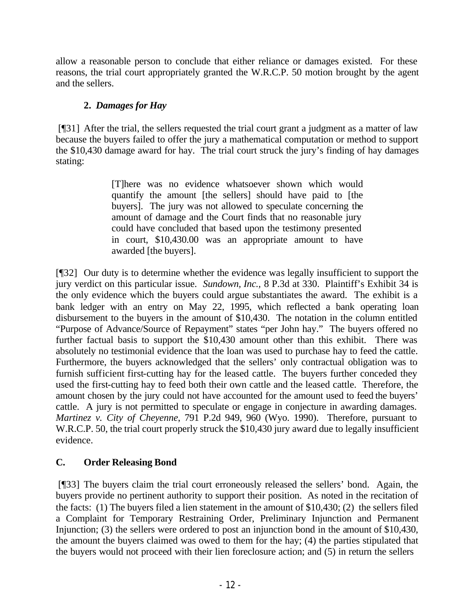allow a reasonable person to conclude that either reliance or damages existed. For these reasons, the trial court appropriately granted the W.R.C.P. 50 motion brought by the agent and the sellers.

# **2.** *Damages for Hay*

 [¶31] After the trial, the sellers requested the trial court grant a judgment as a matter of law because the buyers failed to offer the jury a mathematical computation or method to support the \$10,430 damage award for hay. The trial court struck the jury's finding of hay damages stating:

> [T]here was no evidence whatsoever shown which would quantify the amount [the sellers] should have paid to [the buyers]. The jury was not allowed to speculate concerning the amount of damage and the Court finds that no reasonable jury could have concluded that based upon the testimony presented in court, \$10,430.00 was an appropriate amount to have awarded [the buyers].

[¶32] Our duty is to determine whether the evidence was legally insufficient to support the jury verdict on this particular issue. *Sundown, Inc.,* 8 P.3d at 330. Plaintiff's Exhibit 34 is the only evidence which the buyers could argue substantiates the award. The exhibit is a bank ledger with an entry on May 22, 1995, which reflected a bank operating loan disbursement to the buyers in the amount of \$10,430. The notation in the column entitled "Purpose of Advance/Source of Repayment" states "per John hay." The buyers offered no further factual basis to support the \$10,430 amount other than this exhibit. There was absolutely no testimonial evidence that the loan was used to purchase hay to feed the cattle. Furthermore, the buyers acknowledged that the sellers' only contractual obligation was to furnish sufficient first-cutting hay for the leased cattle. The buyers further conceded they used the first-cutting hay to feed both their own cattle and the leased cattle. Therefore, the amount chosen by the jury could not have accounted for the amount used to feed the buyers' cattle. A jury is not permitted to speculate or engage in conjecture in awarding damages. *Martinez v. City of Cheyenne*, 791 P.2d 949, 960 (Wyo. 1990). Therefore, pursuant to W.R.C.P. 50, the trial court properly struck the \$10,430 jury award due to legally insufficient evidence.

## **C. Order Releasing Bond**

 [¶33] The buyers claim the trial court erroneously released the sellers' bond. Again, the buyers provide no pertinent authority to support their position. As noted in the recitation of the facts: (1) The buyers filed a lien statement in the amount of \$10,430; (2) the sellers filed a Complaint for Temporary Restraining Order, Preliminary Injunction and Permanent Injunction; (3) the sellers were ordered to post an injunction bond in the amount of \$10,430, the amount the buyers claimed was owed to them for the hay; (4) the parties stipulated that the buyers would not proceed with their lien foreclosure action; and (5) in return the sellers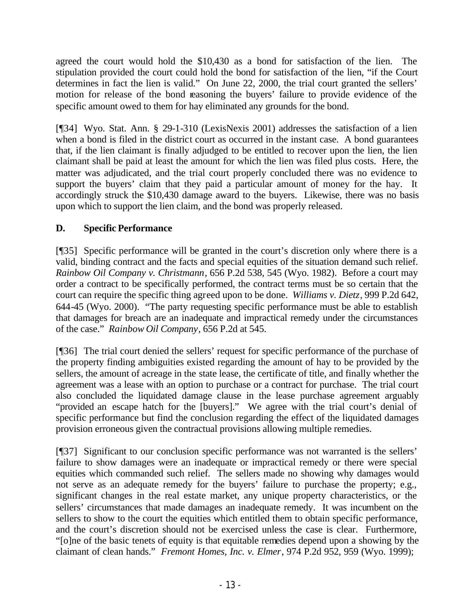agreed the court would hold the \$10,430 as a bond for satisfaction of the lien. The stipulation provided the court could hold the bond for satisfaction of the lien, "if the Court determines in fact the lien is valid." On June 22, 2000, the trial court granted the sellers' motion for release of the bond reasoning the buyers' failure to provide evidence of the specific amount owed to them for hay eliminated any grounds for the bond.

[¶34] Wyo. Stat. Ann. § 29-1-310 (LexisNexis 2001) addresses the satisfaction of a lien when a bond is filed in the district court as occurred in the instant case. A bond guarantees that, if the lien claimant is finally adjudged to be entitled to recover upon the lien, the lien claimant shall be paid at least the amount for which the lien was filed plus costs. Here, the matter was adjudicated, and the trial court properly concluded there was no evidence to support the buyers' claim that they paid a particular amount of money for the hay. It accordingly struck the \$10,430 damage award to the buyers. Likewise, there was no basis upon which to support the lien claim, and the bond was properly released.

## **D. Specific Performance**

[¶35] Specific performance will be granted in the court's discretion only where there is a valid, binding contract and the facts and special equities of the situation demand such relief. *Rainbow Oil Company v. Christmann*, 656 P.2d 538, 545 (Wyo. 1982). Before a court may order a contract to be specifically performed, the contract terms must be so certain that the court can require the specific thing agreed upon to be done. *Williams v. Dietz*, 999 P.2d 642, 644-45 (Wyo. 2000). "The party requesting specific performance must be able to establish that damages for breach are an inadequate and impractical remedy under the circumstances of the case." *Rainbow Oil Company*, 656 P.2d at 545.

[¶36] The trial court denied the sellers' request for specific performance of the purchase of the property finding ambiguities existed regarding the amount of hay to be provided by the sellers, the amount of acreage in the state lease, the certificate of title, and finally whether the agreement was a lease with an option to purchase or a contract for purchase. The trial court also concluded the liquidated damage clause in the lease purchase agreement arguably "provided an escape hatch for the [buyers]." We agree with the trial court's denial of specific performance but find the conclusion regarding the effect of the liquidated damages provision erroneous given the contractual provisions allowing multiple remedies.

[¶37] Significant to our conclusion specific performance was not warranted is the sellers' failure to show damages were an inadequate or impractical remedy or there were special equities which commanded such relief. The sellers made no showing why damages would not serve as an adequate remedy for the buyers' failure to purchase the property; e.g., significant changes in the real estate market, any unique property characteristics, or the sellers' circumstances that made damages an inadequate remedy. It was incumbent on the sellers to show to the court the equities which entitled them to obtain specific performance, and the court's discretion should not be exercised unless the case is clear. Furthermore, "[o]ne of the basic tenets of equity is that equitable remedies depend upon a showing by the claimant of clean hands." *Fremont Homes, Inc. v. Elmer*, 974 P.2d 952, 959 (Wyo. 1999);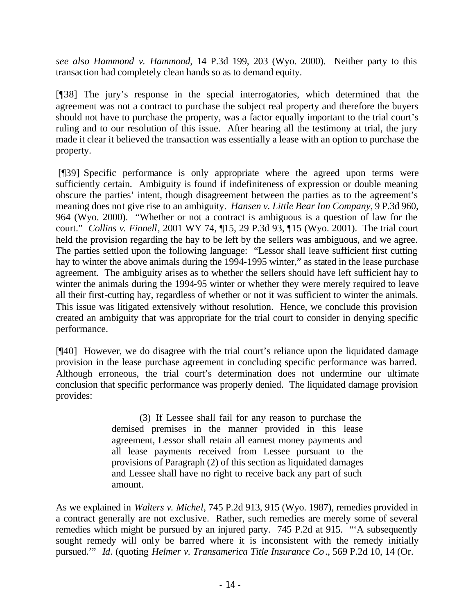*see also Hammond v. Hammond*, 14 P.3d 199, 203 (Wyo. 2000). Neither party to this transaction had completely clean hands so as to demand equity.

[¶38] The jury's response in the special interrogatories, which determined that the agreement was not a contract to purchase the subject real property and therefore the buyers should not have to purchase the property, was a factor equally important to the trial court's ruling and to our resolution of this issue. After hearing all the testimony at trial, the jury made it clear it believed the transaction was essentially a lease with an option to purchase the property.

 [¶39] Specific performance is only appropriate where the agreed upon terms were sufficiently certain. Ambiguity is found if indefiniteness of expression or double meaning obscure the parties' intent, though disagreement between the parties as to the agreement's meaning does not give rise to an ambiguity. *Hansen v. Little Bear Inn Company*, 9 P.3d 960, 964 (Wyo. 2000). "Whether or not a contract is ambiguous is a question of law for the court." *Collins v. Finnell*, 2001 WY 74, ¶15, 29 P.3d 93, ¶15 (Wyo. 2001). The trial court held the provision regarding the hay to be left by the sellers was ambiguous, and we agree. The parties settled upon the following language: "Lessor shall leave sufficient first cutting hay to winter the above animals during the 1994-1995 winter," as stated in the lease purchase agreement. The ambiguity arises as to whether the sellers should have left sufficient hay to winter the animals during the 1994-95 winter or whether they were merely required to leave all their first-cutting hay, regardless of whether or not it was sufficient to winter the animals. This issue was litigated extensively without resolution. Hence, we conclude this provision created an ambiguity that was appropriate for the trial court to consider in denying specific performance.

[¶40] However, we do disagree with the trial court's reliance upon the liquidated damage provision in the lease purchase agreement in concluding specific performance was barred. Although erroneous, the trial court's determination does not undermine our ultimate conclusion that specific performance was properly denied. The liquidated damage provision provides:

> (3) If Lessee shall fail for any reason to purchase the demised premises in the manner provided in this lease agreement, Lessor shall retain all earnest money payments and all lease payments received from Lessee pursuant to the provisions of Paragraph (2) of this section as liquidated damages and Lessee shall have no right to receive back any part of such amount.

As we explained in *Walters v. Michel*, 745 P.2d 913, 915 (Wyo. 1987), remedies provided in a contract generally are not exclusive. Rather, such remedies are merely some of several remedies which might be pursued by an injured party. 745 P.2d at 915. "'A subsequently sought remedy will only be barred where it is inconsistent with the remedy initially pursued.'" *Id*. (quoting *Helmer v. Transamerica Title Insurance Co*., 569 P.2d 10, 14 (Or.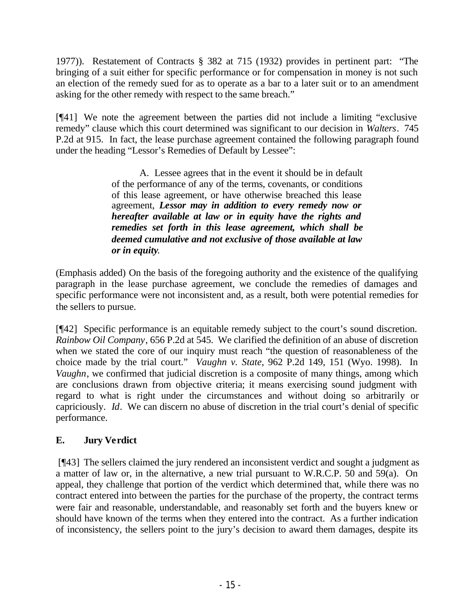1977)). Restatement of Contracts § 382 at 715 (1932) provides in pertinent part: "The bringing of a suit either for specific performance or for compensation in money is not such an election of the remedy sued for as to operate as a bar to a later suit or to an amendment asking for the other remedy with respect to the same breach."

[¶41] We note the agreement between the parties did not include a limiting "exclusive remedy" clause which this court determined was significant to our decision in *Walters*. 745 P.2d at 915. In fact, the lease purchase agreement contained the following paragraph found under the heading "Lessor's Remedies of Default by Lessee":

> A. Lessee agrees that in the event it should be in default of the performance of any of the terms, covenants, or conditions of this lease agreement, or have otherwise breached this lease agreement, *Lessor may in addition to every remedy now or hereafter available at law or in equity have the rights and remedies set forth in this lease agreement, which shall be deemed cumulative and not exclusive of those available at law or in equity.*

(Emphasis added) On the basis of the foregoing authority and the existence of the qualifying paragraph in the lease purchase agreement, we conclude the remedies of damages and specific performance were not inconsistent and, as a result, both were potential remedies for the sellers to pursue.

[¶42] Specific performance is an equitable remedy subject to the court's sound discretion. *Rainbow Oil Company*, 656 P.2d at 545. We clarified the definition of an abuse of discretion when we stated the core of our inquiry must reach "the question of reasonableness of the choice made by the trial court." *Vaughn v. State*, 962 P.2d 149, 151 (Wyo. 1998). In *Vaughn*, we confirmed that judicial discretion is a composite of many things, among which are conclusions drawn from objective criteria; it means exercising sound judgment with regard to what is right under the circumstances and without doing so arbitrarily or capriciously. *Id*. We can discern no abuse of discretion in the trial court's denial of specific performance.

## **E. Jury Verdict**

 [¶43] The sellers claimed the jury rendered an inconsistent verdict and sought a judgment as a matter of law or, in the alternative, a new trial pursuant to W.R.C.P. 50 and 59(a). On appeal, they challenge that portion of the verdict which determined that, while there was no contract entered into between the parties for the purchase of the property, the contract terms were fair and reasonable, understandable, and reasonably set forth and the buyers knew or should have known of the terms when they entered into the contract. As a further indication of inconsistency, the sellers point to the jury's decision to award them damages, despite its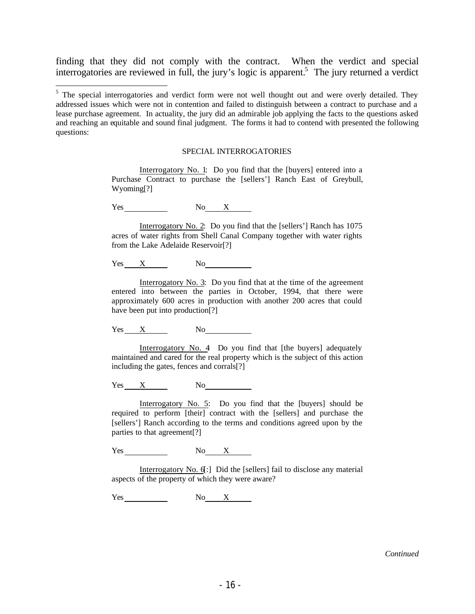finding that they did not comply with the contract. When the verdict and special interrogatories are reviewed in full, the jury's logic is apparent.<sup>5</sup> The jury returned a verdict

#### SPECIAL INTERROGATORIES

Interrogatory No. 1: Do you find that the [buyers] entered into a Purchase Contract to purchase the [sellers'] Ranch East of Greybull, Wyoming[?]

Yes No X

Interrogatory No. 2: Do you find that the [sellers'] Ranch has 1075 acres of water rights from Shell Canal Company together with water rights from the Lake Adelaide Reservoir[?]

Yes X No

Interrogatory No. 3: Do you find that at the time of the agreement entered into between the parties in October, 1994, that there were approximately 600 acres in production with another 200 acres that could have been put into production<sup>[?]</sup>

Yes X No

Interrogatory No. 4 Do you find that [the buyers] adequately maintained and cared for the real property which is the subject of this action including the gates, fences and corrals[?]

 $Yes$   $X$   $No$ 

Interrogatory No. 5: Do you find that the [buyers] should be required to perform [their] contract with the [sellers] and purchase the [sellers'] Ranch according to the terms and conditions agreed upon by the parties to that agreement[?]

Yes No X

Interrogatory No. 6[:] Did the [sellers] fail to disclose any material aspects of the property of which they were aware?

 $Yes$  No  $X$ 

<sup>&</sup>lt;sup>5</sup> The special interrogatories and verdict form were not well thought out and were overly detailed. They addressed issues which were not in contention and failed to distinguish between a contract to purchase and a lease purchase agreement. In actuality, the jury did an admirable job applying the facts to the questions asked and reaching an equitable and sound final judgment. The forms it had to contend with presented the following questions: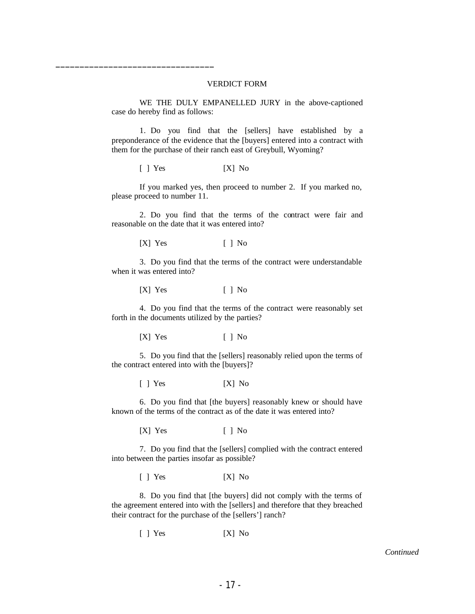#### VERDICT FORM

WE THE DULY EMPANELLED JURY in the above-captioned case do hereby find as follows:

1. Do you find that the [sellers] have established by a preponderance of the evidence that the [buyers] entered into a contract with them for the purchase of their ranch east of Greybull, Wyoming?

[ ] Yes [X] No

\_\_\_\_\_\_\_\_\_\_\_\_\_\_\_\_\_\_\_\_\_\_\_\_\_\_\_\_\_\_\_\_\_

If you marked yes, then proceed to number 2. If you marked no, please proceed to number 11.

2. Do you find that the terms of the contract were fair and reasonable on the date that it was entered into?

 $[X]$  Yes  $[ ]$  No

3. Do you find that the terms of the contract were understandable when it was entered into?

[X] Yes [ ] No

4. Do you find that the terms of the contract were reasonably set forth in the documents utilized by the parties?

[X] Yes [ ] No

5. Do you find that the [sellers] reasonably relied upon the terms of the contract entered into with the [buyers]?

[ ] Yes [X] No

6. Do you find that [the buyers] reasonably knew or should have known of the terms of the contract as of the date it was entered into?

[X] Yes [ ] No

7. Do you find that the [sellers] complied with the contract entered into between the parties insofar as possible?

[ ] Yes [X] No

8. Do you find that [the buyers] did not comply with the terms of the agreement entered into with the [sellers] and therefore that they breached their contract for the purchase of the [sellers'] ranch?

[ ] Yes [X] No

*Continued*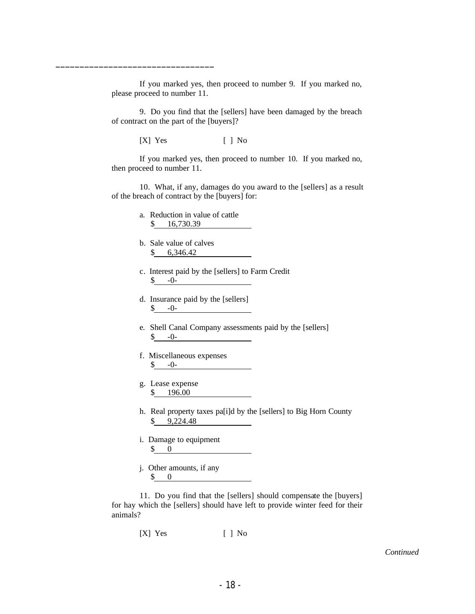If you marked yes, then proceed to number 9. If you marked no, please proceed to number 11.

9. Do you find that the [sellers] have been damaged by the breach of contract on the part of the [buyers]?

[X] Yes [ ] No

\_\_\_\_\_\_\_\_\_\_\_\_\_\_\_\_\_\_\_\_\_\_\_\_\_\_\_\_\_\_\_\_\_

If you marked yes, then proceed to number 10. If you marked no, then proceed to number 11.

10. What, if any, damages do you award to the [sellers] as a result of the breach of contract by the [buyers] for:

- a. Reduction in value of cattle \$ 16,730.39
- b. Sale value of calves \$ 6,346.42
- c. Interest paid by the [sellers] to Farm Credit  $\$\,$  -0-

d. Insurance paid by the [sellers]  $\uparrow$  -0-

- e. Shell Canal Company assessments paid by the [sellers]  $\$\,$  -0-
- f. Miscellaneous expenses  $$ -0-$
- g. Lease expense \$ 196.00
- h. Real property taxes pa[i]d by the [sellers] to Big Horn County \$ 9,224.48
- i. Damage to equipment \$ 0
- j. Other amounts, if any \$ 0

11. Do you find that the [sellers] should compensate the [buyers] for hay which the [sellers] should have left to provide winter feed for their animals?

 $[X]$  Yes  $[ ]$  No

*Continued*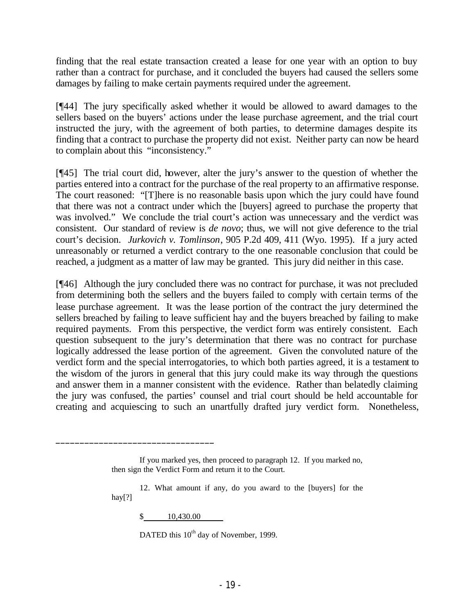finding that the real estate transaction created a lease for one year with an option to buy rather than a contract for purchase, and it concluded the buyers had caused the sellers some damages by failing to make certain payments required under the agreement.

[¶44] The jury specifically asked whether it would be allowed to award damages to the sellers based on the buyers' actions under the lease purchase agreement, and the trial court instructed the jury, with the agreement of both parties, to determine damages despite its finding that a contract to purchase the property did not exist. Neither party can now be heard to complain about this "inconsistency."

[¶45] The trial court did, however, alter the jury's answer to the question of whether the parties entered into a contract for the purchase of the real property to an affirmative response. The court reasoned: "[T]here is no reasonable basis upon which the jury could have found that there was not a contract under which the [buyers] agreed to purchase the property that was involved." We conclude the trial court's action was unnecessary and the verdict was consistent. Our standard of review is *de novo*; thus, we will not give deference to the trial court's decision. *Jurkovich v. Tomlinson*, 905 P.2d 409, 411 (Wyo. 1995). If a jury acted unreasonably or returned a verdict contrary to the one reasonable conclusion that could be reached, a judgment as a matter of law may be granted. This jury did neither in this case.

[¶46] Although the jury concluded there was no contract for purchase, it was not precluded from determining both the sellers and the buyers failed to comply with certain terms of the lease purchase agreement. It was the lease portion of the contract the jury determined the sellers breached by failing to leave sufficient hay and the buyers breached by failing to make required payments. From this perspective, the verdict form was entirely consistent. Each question subsequent to the jury's determination that there was no contract for purchase logically addressed the lease portion of the agreement. Given the convoluted nature of the verdict form and the special interrogatories, to which both parties agreed, it is a testament to the wisdom of the jurors in general that this jury could make its way through the questions and answer them in a manner consistent with the evidence. Rather than belatedly claiming the jury was confused, the parties' counsel and trial court should be held accountable for creating and acquiescing to such an unartfully drafted jury verdict form. Nonetheless,

\$ 10,430.00

\_\_\_\_\_\_\_\_\_\_\_\_\_\_\_\_\_\_\_\_\_\_\_\_\_\_\_\_\_\_\_\_\_

DATED this  $10^{th}$  day of November, 1999.

If you marked yes, then proceed to paragraph 12. If you marked no, then sign the Verdict Form and return it to the Court.

<sup>12.</sup> What amount if any, do you award to the [buyers] for the hay[?]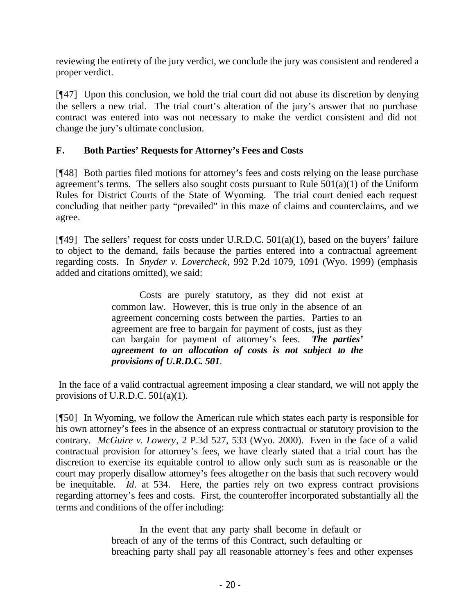reviewing the entirety of the jury verdict, we conclude the jury was consistent and rendered a proper verdict.

[¶47] Upon this conclusion, we hold the trial court did not abuse its discretion by denying the sellers a new trial. The trial court's alteration of the jury's answer that no purchase contract was entered into was not necessary to make the verdict consistent and did not change the jury's ultimate conclusion.

## **F. Both Parties' Requests for Attorney's Fees and Costs**

[¶48] Both parties filed motions for attorney's fees and costs relying on the lease purchase agreement's terms. The sellers also sought costs pursuant to Rule  $501(a)(1)$  of the Uniform Rules for District Courts of the State of Wyoming. The trial court denied each request concluding that neither party "prevailed" in this maze of claims and counterclaims, and we agree.

[¶49] The sellers' request for costs under U.R.D.C. 501(a)(1), based on the buyers' failure to object to the demand, fails because the parties entered into a contractual agreement regarding costs. In *Snyder v. Lovercheck*, 992 P.2d 1079, 1091 (Wyo. 1999) (emphasis added and citations omitted), we said:

> Costs are purely statutory, as they did not exist at common law. However, this is true only in the absence of an agreement concerning costs between the parties. Parties to an agreement are free to bargain for payment of costs, just as they can bargain for payment of attorney's fees. *The parties' agreement to an allocation of costs is not subject to the provisions of U.R.D.C. 501.*

 In the face of a valid contractual agreement imposing a clear standard, we will not apply the provisions of U.R.D.C.  $501(a)(1)$ .

[¶50] In Wyoming, we follow the American rule which states each party is responsible for his own attorney's fees in the absence of an express contractual or statutory provision to the contrary. *McGuire v. Lowery*, 2 P.3d 527, 533 (Wyo. 2000). Even in the face of a valid contractual provision for attorney's fees, we have clearly stated that a trial court has the discretion to exercise its equitable control to allow only such sum as is reasonable or the court may properly disallow attorney's fees altogether on the basis that such recovery would be inequitable. *Id*. at 534. Here, the parties rely on two express contract provisions regarding attorney's fees and costs. First, the counteroffer incorporated substantially all the terms and conditions of the offer including:

> In the event that any party shall become in default or breach of any of the terms of this Contract, such defaulting or breaching party shall pay all reasonable attorney's fees and other expenses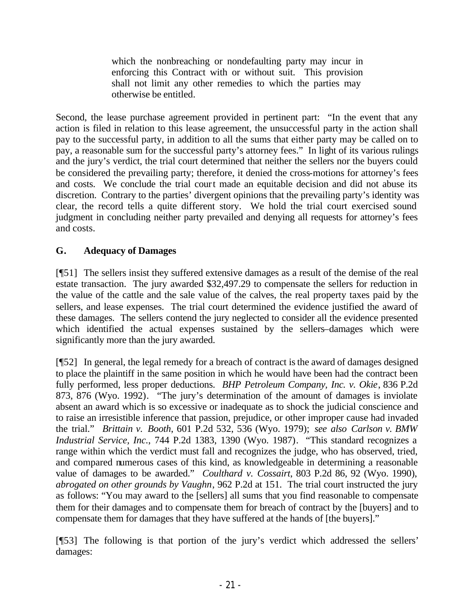which the nonbreaching or nondefaulting party may incur in enforcing this Contract with or without suit. This provision shall not limit any other remedies to which the parties may otherwise be entitled.

Second, the lease purchase agreement provided in pertinent part: "In the event that any action is filed in relation to this lease agreement, the unsuccessful party in the action shall pay to the successful party, in addition to all the sums that either party may be called on to pay, a reasonable sum for the successful party's attorney fees." In light of its various rulings and the jury's verdict, the trial court determined that neither the sellers nor the buyers could be considered the prevailing party; therefore, it denied the cross-motions for attorney's fees and costs. We conclude the trial court made an equitable decision and did not abuse its discretion. Contrary to the parties' divergent opinions that the prevailing party's identity was clear, the record tells a quite different story. We hold the trial court exercised sound judgment in concluding neither party prevailed and denying all requests for attorney's fees and costs.

## **G. Adequacy of Damages**

[¶51] The sellers insist they suffered extensive damages as a result of the demise of the real estate transaction. The jury awarded \$32,497.29 to compensate the sellers for reduction in the value of the cattle and the sale value of the calves, the real property taxes paid by the sellers, and lease expenses. The trial court determined the evidence justified the award of these damages. The sellers contend the jury neglected to consider all the evidence presented which identified the actual expenses sustained by the sellers–damages which were significantly more than the jury awarded.

[¶52] In general, the legal remedy for a breach of contract is the award of damages designed to place the plaintiff in the same position in which he would have been had the contract been fully performed, less proper deductions. *BHP Petroleum Company, Inc. v. Okie*, 836 P.2d 873, 876 (Wyo. 1992). "The jury's determination of the amount of damages is inviolate absent an award which is so excessive or inadequate as to shock the judicial conscience and to raise an irresistible inference that passion, prejudice, or other improper cause had invaded the trial." *Brittain v. Booth*, 601 P.2d 532, 536 (Wyo. 1979); *see also Carlson v. BMW Industrial Service, Inc.*, 744 P.2d 1383, 1390 (Wyo. 1987). "This standard recognizes a range within which the verdict must fall and recognizes the judge, who has observed, tried, and compared numerous cases of this kind, as knowledgeable in determining a reasonable value of damages to be awarded." *Coulthard v. Cossairt*, 803 P.2d 86, 92 (Wyo. 1990), *abrogated on other grounds by Vaughn*, 962 P.2d at 151. The trial court instructed the jury as follows: "You may award to the [sellers] all sums that you find reasonable to compensate them for their damages and to compensate them for breach of contract by the [buyers] and to compensate them for damages that they have suffered at the hands of [the buyers]."

[¶53] The following is that portion of the jury's verdict which addressed the sellers' damages: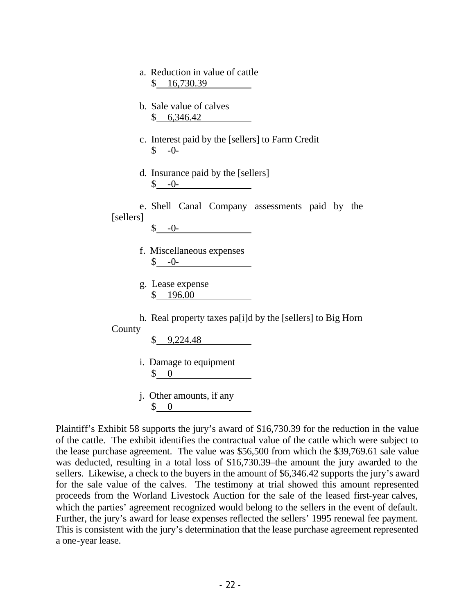|  | a. Reduction in value of cattle |
|--|---------------------------------|
|  | \$16,730.39                     |

- b. Sale value of calves \$ 6,346.42
- c. Interest paid by the [sellers] to Farm Credit  $\$\, -0$ -
- d. Insurance paid by the [sellers]  $\$\,$  -0-

e. Shell Canal Company assessments paid by the [sellers]

- f. Miscellaneous expenses  $\$\, -0$ -
- g. Lease expense \$ 196.00

h. Real property taxes pa[i]d by the [sellers] to Big Horn

County

\$ 9,224.48

- i. Damage to equipment \$ 0
- j. Other amounts, if any \$ 0

Plaintiff's Exhibit 58 supports the jury's award of \$16,730.39 for the reduction in the value of the cattle. The exhibit identifies the contractual value of the cattle which were subject to the lease purchase agreement. The value was \$56,500 from which the \$39,769.61 sale value was deducted, resulting in a total loss of \$16,730.39–the amount the jury awarded to the sellers. Likewise, a check to the buyers in the amount of \$6,346.42 supports the jury's award for the sale value of the calves. The testimony at trial showed this amount represented proceeds from the Worland Livestock Auction for the sale of the leased first-year calves, which the parties' agreement recognized would belong to the sellers in the event of default. Further, the jury's award for lease expenses reflected the sellers' 1995 renewal fee payment. This is consistent with the jury's determination that the lease purchase agreement represented a one-year lease.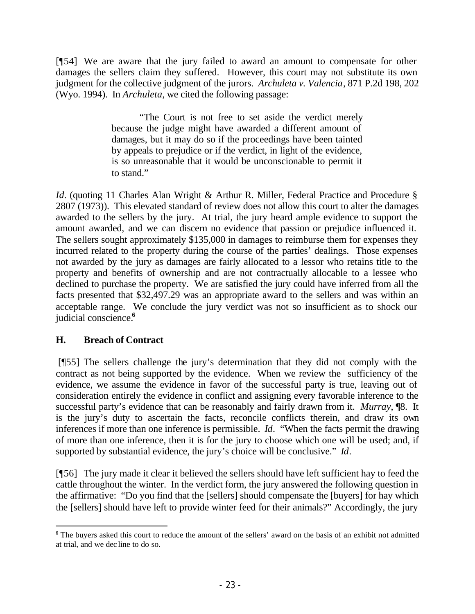[¶54] We are aware that the jury failed to award an amount to compensate for other damages the sellers claim they suffered.However, this court may not substitute its own judgment for the collective judgment of the jurors. *Archuleta v. Valencia*, 871 P.2d 198, 202 (Wyo. 1994). In *Archuleta*, we cited the following passage:

> "The Court is not free to set aside the verdict merely because the judge might have awarded a different amount of damages, but it may do so if the proceedings have been tainted by appeals to prejudice or if the verdict, in light of the evidence, is so unreasonable that it would be unconscionable to permit it to stand."

*Id.* (quoting 11 Charles Alan Wright & Arthur R. Miller, Federal Practice and Procedure § 2807 (1973)). This elevated standard of review does not allow this court to alter the damages awarded to the sellers by the jury. At trial, the jury heard ample evidence to support the amount awarded, and we can discern no evidence that passion or prejudice influenced it. The sellers sought approximately \$135,000 in damages to reimburse them for expenses they incurred related to the property during the course of the parties' dealings. Those expenses not awarded by the jury as damages are fairly allocated to a lessor who retains title to the property and benefits of ownership and are not contractually allocable to a lessee who declined to purchase the property. We are satisfied the jury could have inferred from all the facts presented that \$32,497.29 was an appropriate award to the sellers and was within an acceptable range. We conclude the jury verdict was not so insufficient as to shock our judicial conscience.**<sup>6</sup>**

### **H. Breach of Contract**

 [¶55] The sellers challenge the jury's determination that they did not comply with the contract as not being supported by the evidence. When we review the sufficiency of the evidence, we assume the evidence in favor of the successful party is true, leaving out of consideration entirely the evidence in conflict and assigning every favorable inference to the successful party's evidence that can be reasonably and fairly drawn from it. *Murray*, ¶8. It is the jury's duty to ascertain the facts, reconcile conflicts therein, and draw its own inferences if more than one inference is permissible. *Id*. "When the facts permit the drawing of more than one inference, then it is for the jury to choose which one will be used; and, if supported by substantial evidence, the jury's choice will be conclusive." *Id*.

[¶56] The jury made it clear it believed the sellers should have left sufficient hay to feed the cattle throughout the winter. In the verdict form, the jury answered the following question in the affirmative: "Do you find that the [sellers] should compensate the [buyers] for hay which the [sellers] should have left to provide winter feed for their animals?" Accordingly, the jury

<sup>&</sup>lt;sup>6</sup> The buyers asked this court to reduce the amount of the sellers' award on the basis of an exhibit not admitted at trial, and we dec line to do so.